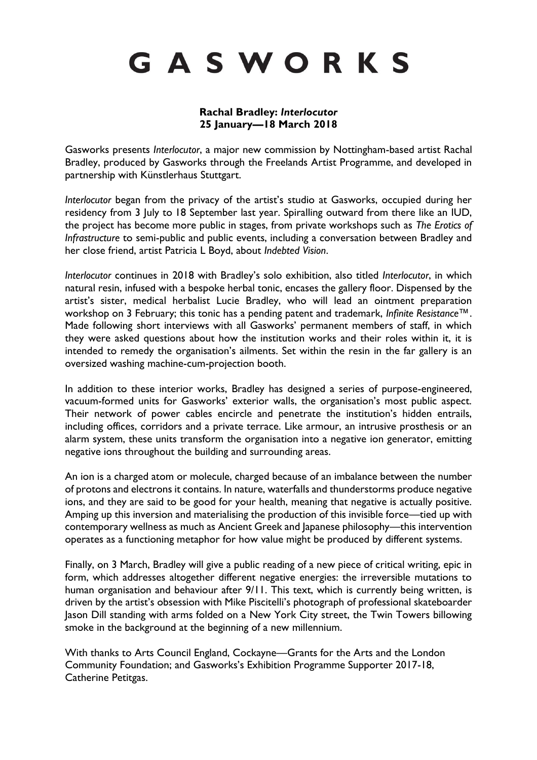# GASWORKS

#### **Rachal Bradley:** *Interlocutor* **25 January—18 March 2018**

Gasworks presents *Interlocutor*, a major new commission by Nottingham-based artist Rachal Bradley, produced by Gasworks through the Freelands Artist Programme, and developed in partnership with Künstlerhaus Stuttgart.

*Interlocutor* began from the privacy of the artist's studio at Gasworks, occupied during her residency from 3 July to 18 September last year. Spiralling outward from there like an IUD, the project has become more public in stages, from private workshops such as *The Erotics of Infrastructure* to semi-public and public events, including a conversation between Bradley and her close friend, artist Patricia L Boyd, about *Indebted Vision*.

*Interlocutor* continues in 2018 with Bradley's solo exhibition, also titled *Interlocutor*, in which natural resin, infused with a bespoke herbal tonic, encases the gallery floor. Dispensed by the artist's sister, medical herbalist Lucie Bradley, who will lead an ointment preparation workshop on 3 February; this tonic has a pending patent and trademark, *Infinite Resistance™*. Made following short interviews with all Gasworks' permanent members of staff, in which they were asked questions about how the institution works and their roles within it, it is intended to remedy the organisation's ailments. Set within the resin in the far gallery is an oversized washing machine-cum-projection booth.

In addition to these interior works, Bradley has designed a series of purpose-engineered, vacuum-formed units for Gasworks' exterior walls, the organisation's most public aspect. Their network of power cables encircle and penetrate the institution's hidden entrails, including offices, corridors and a private terrace. Like armour, an intrusive prosthesis or an alarm system, these units transform the organisation into a negative ion generator, emitting negative ions throughout the building and surrounding areas.

An ion is a charged atom or molecule, charged because of an imbalance between the number of protons and electrons it contains. In nature, waterfalls and thunderstorms produce negative ions, and they are said to be good for your health, meaning that negative is actually positive. Amping up this inversion and materialising the production of this invisible force—tied up with contemporary wellness as much as Ancient Greek and Japanese philosophy—this intervention operates as a functioning metaphor for how value might be produced by different systems.

Finally, on 3 March, Bradley will give a public reading of a new piece of critical writing, epic in form, which addresses altogether different negative energies: the irreversible mutations to human organisation and behaviour after 9/11. This text, which is currently being written, is driven by the artist's obsession with Mike Piscitelli's photograph of professional skateboarder Jason Dill standing with arms folded on a New York City street, the Twin Towers billowing smoke in the background at the beginning of a new millennium.

With thanks to Arts Council England, Cockayne—Grants for the Arts and the London Community Foundation; and Gasworks's Exhibition Programme Supporter 2017-18, Catherine Petitgas.